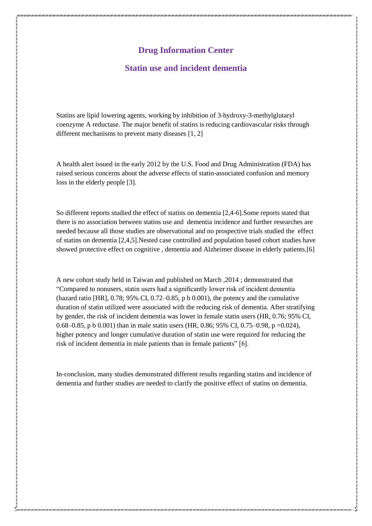## **Drug Information Center**

## **Statin use and incident dementia**

Statins are lipid lowering agents, working by inhibition of 3-hydroxy-3-methylglutaryl coenzyme A reductase. The major benefit of statins is reducing cardiovascular risks through different mechanisms to prevent many diseases [1, 2]

A health alert issued in the early 2012 by the U.S. Food and Drug Administration (FDA) has raised serious concerns about the adverse effects of statin-associated confusion and memory loss in the elderly people [3].

So different reports studied the effect of statins on dementia [2,4-6].Some reports stated that there is no association between statins use and dementia incidence and further researches are needed because all those studies are observational and no prospective trials studied the effect of statins on dementia [2,4,5].Nested case controlled and population based cohort studies have showed protective effect on cognitive , dementia and Alzheimer disease in elderly patients.[6]

A new cohort study held in Taiwan and published on March ,2014 ; demonstrated that "Compared to nonusers, statin users had a significantly lower risk of incident dementia (hazard ratio [HR], 0.78; 95% CI, 0.72–0.85, p b 0.001), the potency and the cumulative duration of statin utilized were associated with the reducing risk of dementia. After stratifying by gender, the risk of incident dementia was lower in female statin users (HR, 0.76; 95% CI, 0.68–0.85, p b 0.001) than in male statin users (HR, 0.86; 95% CI, 0.75–0.98, p =0.024), higher potency and longer cumulative duration of statin use were required for reducing the risk of incident dementia in male patients than in female patients" [6].

In-conclusion, many studies demonstrated different results regarding statins and incidence of dementia and further studies are needed to clarify the positive effect of statins on dementia.